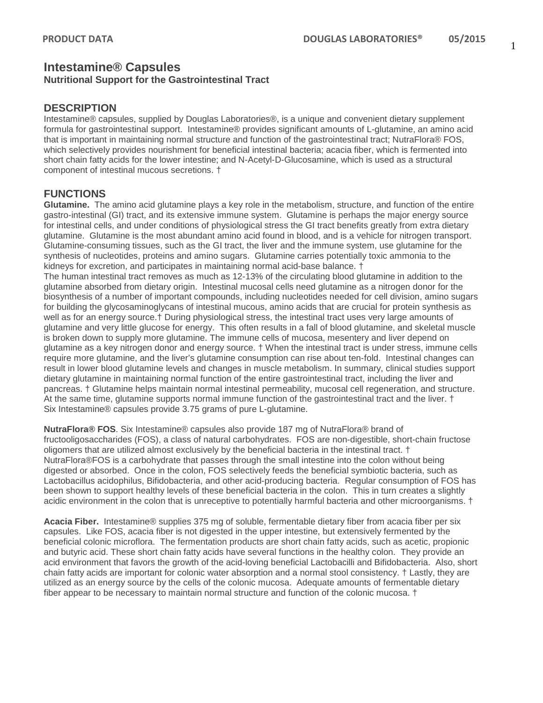## **Intestamine® Capsules Nutritional Support for the Gastrointestinal Tract**

### **DESCRIPTION**

Intestamine® capsules, supplied by Douglas Laboratories®, is a unique and convenient dietary supplement formula for gastrointestinal support. Intestamine® provides significant amounts of L-glutamine, an amino acid that is important in maintaining normal structure and function of the gastrointestinal tract; NutraFlora® FOS, which selectively provides nourishment for beneficial intestinal bacteria; acacia fiber, which is fermented into short chain fatty acids for the lower intestine; and N-Acetyl-D-Glucosamine, which is used as a structural component of intestinal mucous secretions. †

## **FUNCTIONS**

**Glutamine.** The amino acid glutamine plays a key role in the metabolism, structure, and function of the entire gastro-intestinal (GI) tract, and its extensive immune system. Glutamine is perhaps the major energy source for intestinal cells, and under conditions of physiological stress the GI tract benefits greatly from extra dietary glutamine. Glutamine is the most abundant amino acid found in blood, and is a vehicle for nitrogen transport. Glutamine-consuming tissues, such as the GI tract, the liver and the immune system, use glutamine for the synthesis of nucleotides, proteins and amino sugars. Glutamine carries potentially toxic ammonia to the kidneys for excretion, and participates in maintaining normal acid-base balance. †

The human intestinal tract removes as much as 12-13% of the circulating blood glutamine in addition to the glutamine absorbed from dietary origin. Intestinal mucosal cells need glutamine as a nitrogen donor for the biosynthesis of a number of important compounds, including nucleotides needed for cell division, amino sugars for building the glycosaminoglycans of intestinal mucous, amino acids that are crucial for protein synthesis as well as for an energy source.† During physiological stress, the intestinal tract uses very large amounts of glutamine and very little glucose for energy. This often results in a fall of blood glutamine, and skeletal muscle is broken down to supply more glutamine. The immune cells of mucosa, mesentery and liver depend on glutamine as a key nitrogen donor and energy source. † When the intestinal tract is under stress, immune cells require more glutamine, and the liver's glutamine consumption can rise about ten-fold. Intestinal changes can result in lower blood glutamine levels and changes in muscle metabolism. In summary, clinical studies support dietary glutamine in maintaining normal function of the entire gastrointestinal tract, including the liver and pancreas. † Glutamine helps maintain normal intestinal permeability, mucosal cell regeneration, and structure. At the same time, glutamine supports normal immune function of the gastrointestinal tract and the liver. † Six Intestamine® capsules provide 3.75 grams of pure L-glutamine.

**NutraFlora® FOS**. Six Intestamine® capsules also provide 187 mg of NutraFlora® brand of fructooligosaccharides (FOS), a class of natural carbohydrates. FOS are non-digestible, short-chain fructose oligomers that are utilized almost exclusively by the beneficial bacteria in the intestinal tract. † NutraFlora®FOS is a carbohydrate that passes through the small intestine into the colon without being digested or absorbed. Once in the colon, FOS selectively feeds the beneficial symbiotic bacteria, such as Lactobacillus acidophilus, Bifidobacteria, and other acid-producing bacteria. Regular consumption of FOS has been shown to support healthy levels of these beneficial bacteria in the colon. This in turn creates a slightly acidic environment in the colon that is unreceptive to potentially harmful bacteria and other microorganisms. †

**Acacia Fiber.** Intestamine® supplies 375 mg of soluble, fermentable dietary fiber from acacia fiber per six capsules. Like FOS, acacia fiber is not digested in the upper intestine, but extensively fermented by the beneficial colonic microflora. The fermentation products are short chain fatty acids, such as acetic, propionic and butyric acid. These short chain fatty acids have several functions in the healthy colon. They provide an acid environment that favors the growth of the acid-loving beneficial Lactobacilli and Bifidobacteria. Also, short chain fatty acids are important for colonic water absorption and a normal stool consistency. † Lastly, they are utilized as an energy source by the cells of the colonic mucosa. Adequate amounts of fermentable dietary fiber appear to be necessary to maintain normal structure and function of the colonic mucosa. †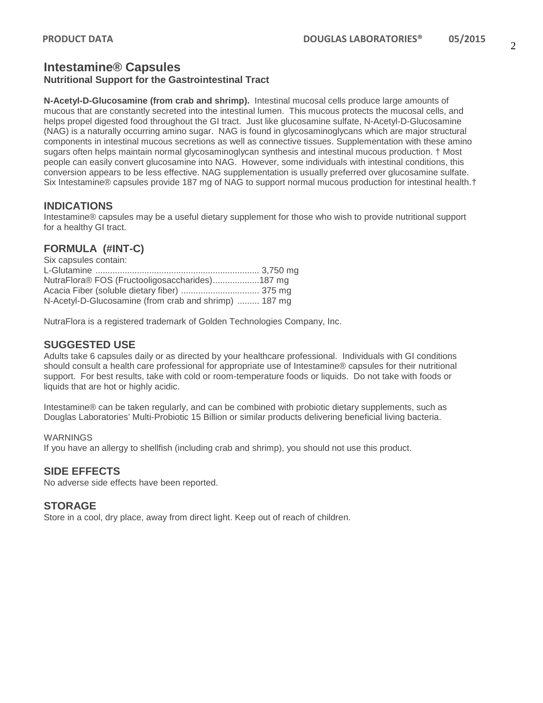## **Intestamine® Capsules Nutritional Support for the Gastrointestinal Tract**

**N-Acetyl-D-Glucosamine (from crab and shrimp).** Intestinal mucosal cells produce large amounts of mucous that are constantly secreted into the intestinal lumen. This mucous protects the mucosal cells, and helps propel digested food throughout the GI tract. Just like glucosamine sulfate, N-Acetyl-D-Glucosamine (NAG) is a naturally occurring amino sugar. NAG is found in glycosaminoglycans which are major structural components in intestinal mucous secretions as well as connective tissues. Supplementation with these amino sugars often helps maintain normal glycosaminoglycan synthesis and intestinal mucous production. † Most people can easily convert glucosamine into NAG. However, some individuals with intestinal conditions, this conversion appears to be less effective. NAG supplementation is usually preferred over glucosamine sulfate. Six Intestamine® capsules provide 187 mg of NAG to support normal mucous production for intestinal health.†

## **INDICATIONS**

Intestamine® capsules may be a useful dietary supplement for those who wish to provide nutritional support for a healthy GI tract.

# **FORMULA (#INT-C)**

| Six capsules contain:                                 |  |
|-------------------------------------------------------|--|
|                                                       |  |
| NutraFlora® FOS (Fructooligosaccharides)187 mg        |  |
|                                                       |  |
| N-Acetyl-D-Glucosamine (from crab and shrimp)  187 mg |  |

NutraFlora is a registered trademark of Golden Technologies Company, Inc.

## **SUGGESTED USE**

Adults take 6 capsules daily or as directed by your healthcare professional. Individuals with GI conditions should consult a health care professional for appropriate use of Intestamine® capsules for their nutritional support. For best results, take with cold or room-temperature foods or liquids. Do not take with foods or liquids that are hot or highly acidic.

Intestamine® can be taken regularly, and can be combined with probiotic dietary supplements, such as Douglas Laboratories' Multi-Probiotic 15 Billion or similar products delivering beneficial living bacteria.

#### WARNINGS

If you have an allergy to shellfish (including crab and shrimp), you should not use this product.

## **SIDE EFFECTS**

No adverse side effects have been reported.

## **STORAGE**

Store in a cool, dry place, away from direct light. Keep out of reach of children.